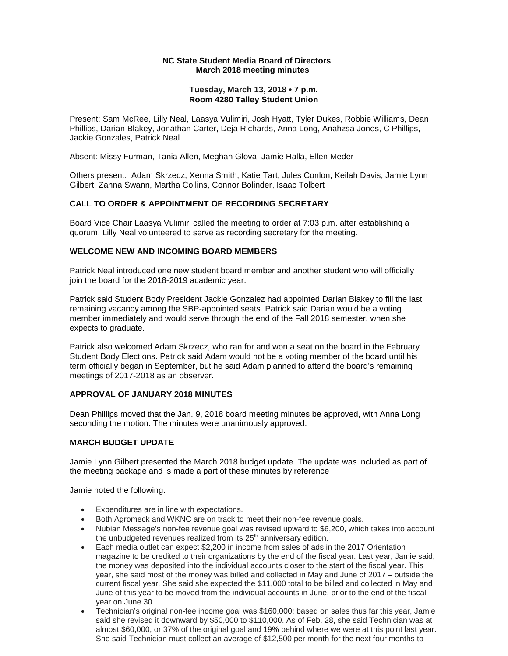#### **NC State Student Media Board of Directors March 2018 meeting minutes**

## **Tuesday, March 13, 2018 • 7 p.m. Room 4280 Talley Student Union**

 Present: Sam McRee, Lilly Neal, Laasya Vulimiri, Josh Hyatt, Tyler Dukes, Robbie Williams, Dean Phillips, Darian Blakey, Jonathan Carter, Deja Richards, Anna Long, Anahzsa Jones, C Phillips, Jackie Gonzales, Patrick Neal

Absent: Missy Furman, Tania Allen, Meghan Glova, Jamie Halla, Ellen Meder

Others present: Adam Skrzecz, Xenna Smith, Katie Tart, Jules Conlon, Keilah Davis, Jamie Lynn Gilbert, Zanna Swann, Martha Collins, Connor Bolinder, Isaac Tolbert

## **CALL TO ORDER & APPOINTMENT OF RECORDING SECRETARY**

 quorum. Lilly Neal volunteered to serve as recording secretary for the meeting. Board Vice Chair Laasya Vulimiri called the meeting to order at 7:03 p.m. after establishing a

#### **WELCOME NEW AND INCOMING BOARD MEMBERS**

 Patrick Neal introduced one new student board member and another student who will officially join the board for the 2018-2019 academic year.

 Patrick said Student Body President Jackie Gonzalez had appointed Darian Blakey to fill the last remaining vacancy among the SBP-appointed seats. Patrick said Darian would be a voting member immediately and would serve through the end of the Fall 2018 semester, when she expects to graduate.

Patrick also welcomed Adam Skrzecz, who ran for and won a seat on the board in the February Student Body Elections. Patrick said Adam would not be a voting member of the board until his term officially began in September, but he said Adam planned to attend the board's remaining meetings of 2017-2018 as an observer.

#### **APPROVAL OF JANUARY 2018 MINUTES**

Dean Phillips moved that the Jan. 9, 2018 board meeting minutes be approved, with Anna Long seconding the motion. The minutes were unanimously approved.

#### **MARCH BUDGET UPDATE**

Jamie Lynn Gilbert presented the March 2018 budget update. The update was included as part of the meeting package and is made a part of these minutes by reference

Jamie noted the following:

- •Expenditures are in line with expectations.
- •Both Agromeck and WKNC are on track to meet their non-fee revenue goals.
- •Nubian Message's non-fee revenue goal was revised upward to \$6,200, which takes into account the unbudgeted revenues realized from its 25<sup>th</sup> anniversary edition.
- •Each media outlet can expect \$2,200 in income from sales of ads in the 2017 Orientation magazine to be credited to their organizations by the end of the fiscal year. Last year, Jamie said, the money was deposited into the individual accounts closer to the start of the fiscal year. This year, she said most of the money was billed and collected in May and June of 2017 – outside the current fiscal year. She said she expected the \$11,000 total to be billed and collected in May and June of this year to be moved from the individual accounts in June, prior to the end of the fiscal year on June 30.
- •Technician's original non-fee income goal was \$160,000; based on sales thus far this year, Jamie said she revised it downward by \$50,000 to \$110,000. As of Feb. 28, she said Technician was at almost \$60,000, or 37% of the original goal and 19% behind where we were at this point last year. She said Technician must collect an average of \$12,500 per month for the next four months to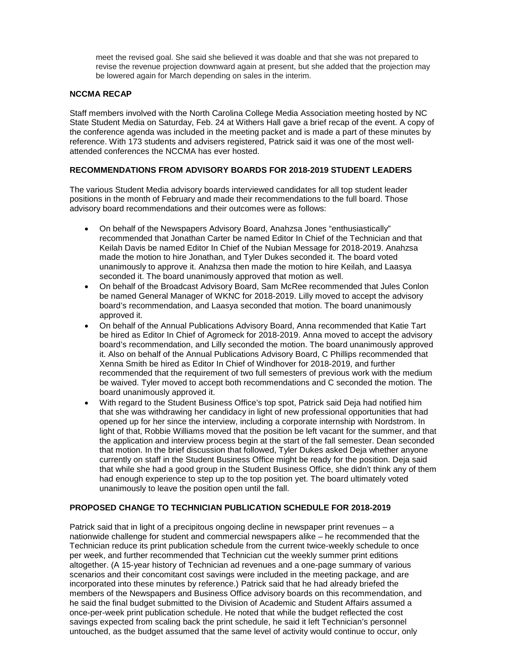meet the revised goal. She said she believed it was doable and that she was not prepared to revise the revenue projection downward again at present, but she added that the projection may be lowered again for March depending on sales in the interim.

## **NCCMA RECAP**

 State Student Media on Saturday, Feb. 24 at Withers Hall gave a brief recap of the event. A copy of reference. With 173 students and advisers registered, Patrick said it was one of the most well-Staff members involved with the North Carolina College Media Association meeting hosted by NC the conference agenda was included in the meeting packet and is made a part of these minutes by attended conferences the NCCMA has ever hosted.

## **RECOMMENDATIONS FROM ADVISORY BOARDS FOR 2018-2019 STUDENT LEADERS**

 The various Student Media advisory boards interviewed candidates for all top student leader positions in the month of February and made their recommendations to the full board. Those advisory board recommendations and their outcomes were as follows:

- •On behalf of the Newspapers Advisory Board, Anahzsa Jones "enthusiastically" recommended that Jonathan Carter be named Editor In Chief of the Technician and that Keilah Davis be named Editor In Chief of the Nubian Message for 2018-2019. Anahzsa made the motion to hire Jonathan, and Tyler Dukes seconded it. The board voted unanimously to approve it. Anahzsa then made the motion to hire Keilah, and Laasya seconded it. The board unanimously approved that motion as well.
- be named General Manager of WKNC for 2018-2019. Lilly moved to accept the advisory •On behalf of the Broadcast Advisory Board, Sam McRee recommended that Jules Conlon board's recommendation, and Laasya seconded that motion. The board unanimously approved it.
- •On behalf of the Annual Publications Advisory Board, Anna recommended that Katie Tart be hired as Editor In Chief of Agromeck for 2018-2019. Anna moved to accept the advisory it. Also on behalf of the Annual Publications Advisory Board, C Phillips recommended that Xenna Smith be hired as Editor In Chief of Windhover for 2018-2019, and further board's recommendation, and Lilly seconded the motion. The board unanimously approved recommended that the requirement of two full semesters of previous work with the medium be waived. Tyler moved to accept both recommendations and C seconded the motion. The board unanimously approved it.
- that while she had a good group in the Student Business Office, she didn't think any of them •With regard to the Student Business Office's top spot, Patrick said Deja had notified him that she was withdrawing her candidacy in light of new professional opportunities that had opened up for her since the interview, including a corporate internship with Nordstrom. In light of that, Robbie Williams moved that the position be left vacant for the summer, and that the application and interview process begin at the start of the fall semester. Dean seconded that motion. In the brief discussion that followed, Tyler Dukes asked Deja whether anyone currently on staff in the Student Business Office might be ready for the position. Deja said had enough experience to step up to the top position yet. The board ultimately voted unanimously to leave the position open until the fall.

#### **PROPOSED CHANGE TO TECHNICIAN PUBLICATION SCHEDULE FOR 2018-2019**

 nationwide challenge for student and commercial newspapers alike – he recommended that the altogether. (A 15-year history of Technician ad revenues and a one-page summary of various once-per-week print publication schedule. He noted that while the budget reflected the cost savings expected from scaling back the print schedule, he said it left Technician's personnel Patrick said that in light of a precipitous ongoing decline in newspaper print revenues – a Technician reduce its print publication schedule from the current twice-weekly schedule to once per week, and further recommended that Technician cut the weekly summer print editions scenarios and their concomitant cost savings were included in the meeting package, and are incorporated into these minutes by reference.) Patrick said that he had already briefed the members of the Newspapers and Business Office advisory boards on this recommendation, and he said the final budget submitted to the Division of Academic and Student Affairs assumed a untouched, as the budget assumed that the same level of activity would continue to occur, only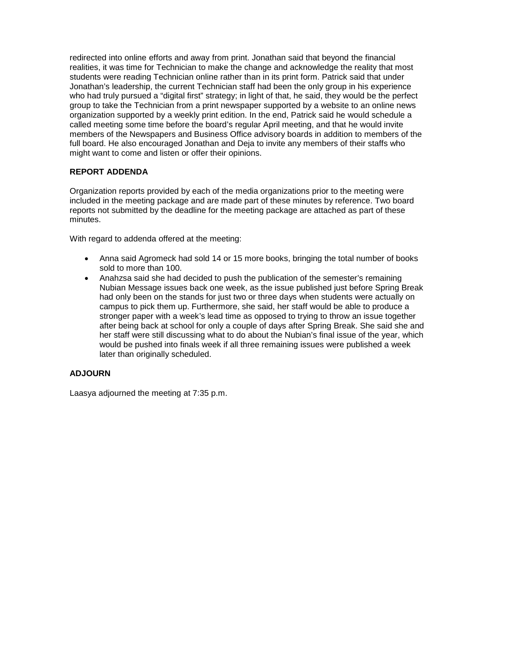realities, it was time for Technician to make the change and acknowledge the reality that most students were reading Technician online rather than in its print form. Patrick said that under redirected into online efforts and away from print. Jonathan said that beyond the financial Jonathan's leadership, the current Technician staff had been the only group in his experience who had truly pursued a "digital first" strategy; in light of that, he said, they would be the perfect group to take the Technician from a print newspaper supported by a website to an online news organization supported by a weekly print edition. In the end, Patrick said he would schedule a called meeting some time before the board's regular April meeting, and that he would invite members of the Newspapers and Business Office advisory boards in addition to members of the full board. He also encouraged Jonathan and Deja to invite any members of their staffs who might want to come and listen or offer their opinions.

## **REPORT ADDENDA**

Organization reports provided by each of the media organizations prior to the meeting were included in the meeting package and are made part of these minutes by reference. Two board reports not submitted by the deadline for the meeting package are attached as part of these minutes.

With regard to addenda offered at the meeting:

- •Anna said Agromeck had sold 14 or 15 more books, bringing the total number of books sold to more than 100.
- •Anahzsa said she had decided to push the publication of the semester's remaining Nubian Message issues back one week, as the issue published just before Spring Break had only been on the stands for just two or three days when students were actually on campus to pick them up. Furthermore, she said, her staff would be able to produce a stronger paper with a week's lead time as opposed to trying to throw an issue together after being back at school for only a couple of days after Spring Break. She said she and her staff were still discussing what to do about the Nubian's final issue of the year, which would be pushed into finals week if all three remaining issues were published a week later than originally scheduled.

## **ADJOURN**

Laasya adjourned the meeting at 7:35 p.m.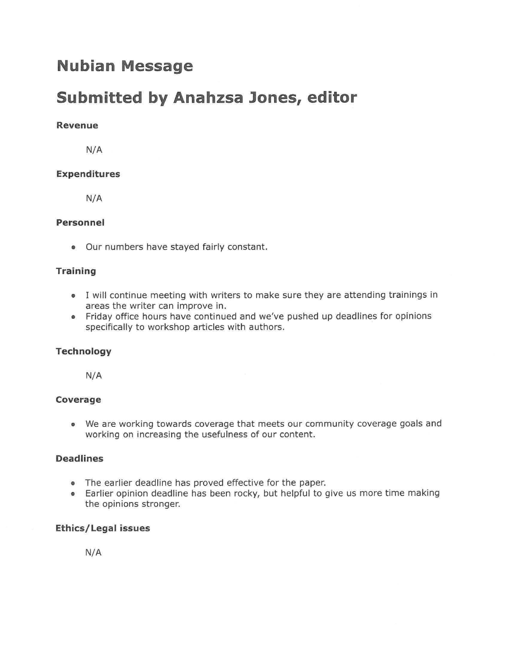# **Nubian Message**

# **Submitted by Anahzsa Jones, editor**

## **Revenue**

N/A

## **Expenditures**

N/A

## **Personnel**

• Our numbers have stayed fairly constant.

## **Training**

- I will continue meeting with writers to make sure they are attending trainings in areas the writer can improve in.
- Friday office hours have continued and we've pushed up deadlines for opinions specifically to workshop articles with authors.

## **Technology**

N/A

## **Coverage**

• We are working towards coverage that meets our community coverage goals and working on increasing the usefulness of our content.

## **Deadlines**

- The earlier deadline has proved effective for the paper.
- Earlier opinion deadline has been rocky, but helpful to give us more time making the opinions stronger.

## **Ethics/Legal issues**

**N/A**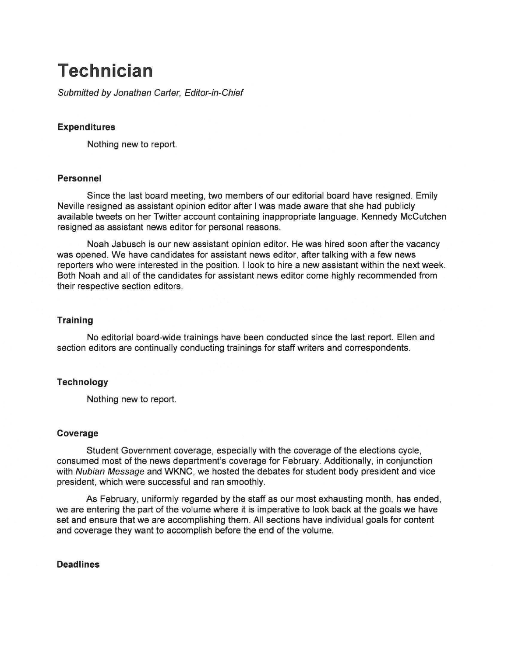# **Technician**

Submitted by Jonathan Carter, Editor-in-Chief

## **Expenditures**

Nothing new to report.

## **Personnel**

Since the last board meeting, two members of our editorial board have resigned. Emily Neville resigned as assistant opinion editor after I was made aware that she had publicly available tweets on her Twitter account containing inappropriate language. Kennedy Mccutchen resigned as assistant news editor for personal reasons.

Noah Jabusch is our new assistant opinion editor. He was hired soon after the vacancy was opened. We have candidates for assistant news editor, after talking with a few news reporters who were interested in the position. I look to hire a new assistant within the next week. Both Noah and all of the candidates for assistant news editor come highly recommended from their respective section editors.

#### **Training**

No editorial board-wide trainings have been conducted since the last report. Ellen and section editors are continually conducting trainings for staff writers and correspondents.

## **Technology**

Nothing new to report.

#### **Coverage**

Student Government coverage, especially with the coverage of the elections cycle, consumed most of the news department's coverage for February. Additionally, in conjunction with Nubian Message and WKNC, we hosted the debates for student body president and vice president, which were successful and ran smoothly.

As February, uniformly regarded by the staff as our most exhausting month, has ended, we are entering the part of the volume where it is imperative to look back at the goals we have set and ensure that we are accomplishing them. All sections have individual goals for content and coverage they want to accomplish before the end of the volume.

## **Deadlines**